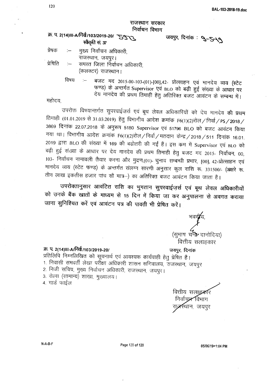| राजस्थान सरकार<br>निर्वाचन विभाग |      |                                                                                                                                          |  |  |  |  |  |  |  |  |  |
|----------------------------------|------|------------------------------------------------------------------------------------------------------------------------------------------|--|--|--|--|--|--|--|--|--|
|                                  |      | क्र. प. 2(14)III-A/निर्वा/103/2019-20/ 75973<br>जयपुर, दिनांक : <b>9-5-19</b><br>स्वीकृति सं. 37                                         |  |  |  |  |  |  |  |  |  |
|                                  |      | प्रेषक :- मुख्य निर्वाचन अधिकारी,                                                                                                        |  |  |  |  |  |  |  |  |  |
| प्रेषिति                         |      | राजस्थान, जयपुर।<br>:—    समस्त जिला निर्वाचन अधिकारी,<br>(कलक्टर) राजस्थान।                                                             |  |  |  |  |  |  |  |  |  |
|                                  | विषय | फण्ड) के अन्तर्गत Supervisor एवं BLO को बढ़ी हुई संख्या के आधार पर<br>देय मानदेय की प्रथम तिमाही हेतु अतिरिक्त बजट आवंटन के सम्बन्ध में। |  |  |  |  |  |  |  |  |  |

महोदय.

उपरोक्त विषयान्तर्गत सुपरवाईजर्स एवं बूथ लेवल अधिकारियों को देय मानदेय **की प्र**थम तिमाही (01.01.2019 से 31.03.2019) हेतु विभागीय आदेश क्रमांक F6(1)(2)रोल / निर्वा / PS / 2018 / 3869 दिनांक 22.07.2018 के अनुरूप 5180 Supervisor एवं 51796 BLO को बजट आवंटन किया गया था। विभागीय आदेश क्रमांक F6(1)(2)रोल / निर्वा / मतदान केन्द्र / 2018 / 511 दिनांक 16.01. 2019 द्वारा BLO की संख्या में 169 की बढोतरी की गई है। इस कम में Supervisor एवं BLO को बढ़ी हुई संख्या के आधार पर देय मानदेय की प्रथम तिमाही हेतु बजट मद 2015- निर्वाचन, 00, 103- निर्वाचन नामावली तैयार करना और मुद्रण,(01)- चुनाव सम्बन्धी प्रभार, [00], 42-प्रोत्साहन एवं मानदेय व्यय (स्टेट फण्ड) के अन्तर्गत संलग्न सारणी अनुसार कुल राशि रू. 331500/- (अक्षरे रू. तीन लाख इकतीस हजार पांच सौ मात्र--) का अतिरिक्त बजट आवंटन किया जाता है।

उपरोक्तानुसार आवंटित राशि का भुगतान सुपरवाईज़र्स एवं बूथ लेवल अधिकारीयों को उनके बैंक खातों के माध्यम से 15 दिन में किया जा कर अनुपालना से अवगत कराया जाना सुनिश्चित करें एवं आवंटन पत्र की पावती भी प्रेषित करें।

(सुभाष)च**न्द्रे** दानोदिया) वित्तीय सलाहकार

## m. q. *2(14)III-ArF1ck/103/2019-201 ~, ~*

प्रतिलिपि निम्नलिखित को सूचनार्थ एवं आवश्यक कार्यवाही हेतु प्रेषित है। 1. निवासी समवर्ती लेखा परोंक्षा अधिकारी शासन सनिवालय, राजस्थान, जयपुर

- 2. निजी सचिव, मुख्य निर्वाचन अधिकारी, राजस्थान, जयपुर।
- 3. रोल्स (सामान्य) शाखा, मुख्यालय।

4. गार्ड फाईल

वित्तीय सला**डक**रि निर्वाच्**ज्य** विभाग